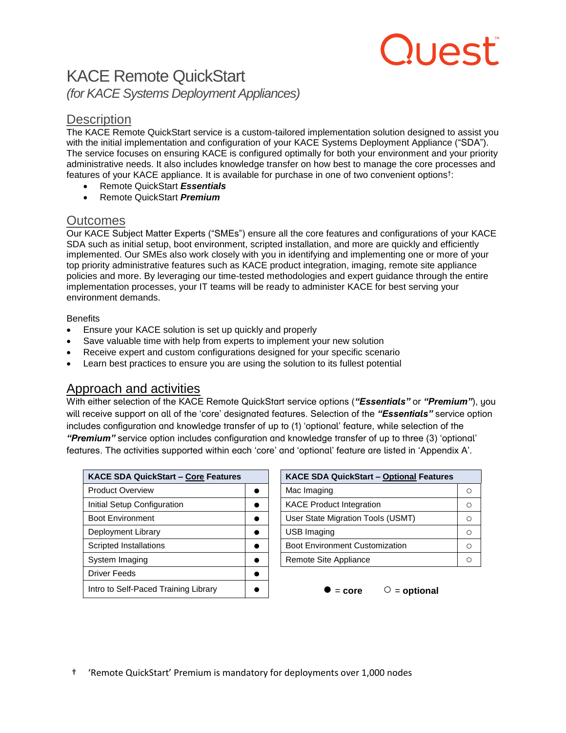# luest.

# KACE Remote QuickStart *(for KACE Systems Deployment Appliances)*

## **Description**

The KACE Remote QuickStart service is a custom-tailored implementation solution designed to assist you with the initial implementation and configuration of your KACE Systems Deployment Appliance ("SDA"). The service focuses on ensuring KACE is configured optimally for both your environment and your priority administrative needs. It also includes knowledge transfer on how best to manage the core processes and features of your KACE appliance. It is available for purchase in one of two convenient options† :

- Remote QuickStart *Essentials*
- Remote QuickStart *Premium*

## Outcomes

Our KACE Subject Matter Experts ("SMEs") ensure all the core features and configurations of your KACE SDA such as initial setup, boot environment, scripted installation, and more are quickly and efficiently implemented. Our SMEs also work closely with you in identifying and implementing one or more of your top priority administrative features such as KACE product integration, imaging, remote site appliance policies and more. By leveraging our time-tested methodologies and expert guidance through the entire implementation processes, your IT teams will be ready to administer KACE for best serving your environment demands.

#### **Benefits**

- Ensure your KACE solution is set up quickly and properly
- Save valuable time with help from experts to implement your new solution
- Receive expert and custom configurations designed for your specific scenario
- Learn best practices to ensure you are using the solution to its fullest potential

## Approach and activities

With either selection of the KACE Remote QuickStart service options (*"Essentials"* or *"Premium"*), you will receive support on all of the 'core' designated features. Selection of the *"Essentials"* service option includes configuration and knowledge transfer of up to (1) 'optional' feature, while selection of the *"Premium"* service option includes configuration and knowledge transfer of up to three (3) 'optional' features. The activities supported within each 'core' and 'optional' feature are listed in 'Appendix A'.

| KACE SDA QuickStart - Core Features  |           | KACE SDA QuickStart - Optional Features |
|--------------------------------------|-----------|-----------------------------------------|
| <b>Product Overview</b>              |           | Mac Imaging                             |
| Initial Setup Configuration          |           | <b>KACE Product Integration</b>         |
| <b>Boot Environment</b>              |           | User State Migration Tools (USMT)       |
| Deployment Library                   |           | USB Imaging                             |
| Scripted Installations               | $\bullet$ | <b>Boot Environment Customization</b>   |
| System Imaging                       | $\bullet$ | Remote Site Appliance                   |
| <b>Driver Feeds</b>                  |           |                                         |
| Intro to Self-Paced Training Library |           | $=$ optional<br>$=$ core                |

| <b>KACE SDA QuickStart - Core Features</b> |  | KACE SDA QuickStart - Optional Features |   |
|--------------------------------------------|--|-----------------------------------------|---|
| <b>Product Overview</b>                    |  | Mac Imaging                             |   |
| Initial Setup Configuration                |  | <b>KACE Product Integration</b>         |   |
| <b>Boot Environment</b>                    |  | User State Migration Tools (USMT)       | C |
| Deployment Library                         |  | <b>USB Imaging</b>                      |   |
| <b>Scripted Installations</b>              |  | Boot Environment Customization          |   |
| System Imaging                             |  | Remote Site Appliance                   |   |
|                                            |  |                                         |   |



† 'Remote QuickStart' Premium is mandatory for deployments over 1,000 nodes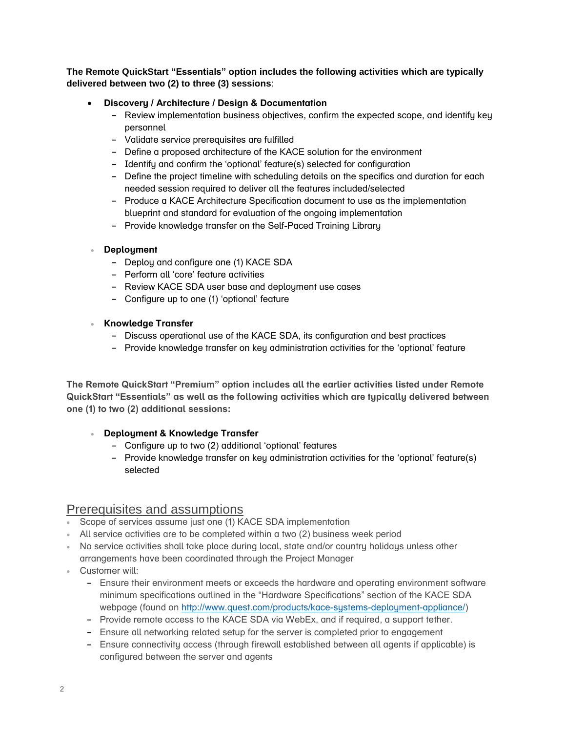#### **The Remote QuickStart "Essentials" option includes the following activities which are typically delivered between two (2) to three (3) sessions**:

#### **Discovery / Architecture / Design & Documentation**

- **-** Review implementation business objectives, confirm the expected scope, and identify key personnel
- **-** Validate service prerequisites are fulfilled
- **-** Define a proposed architecture of the KACE solution for the environment
- **-** Identify and confirm the 'optional' feature(s) selected for configuration
- **-** Define the project timeline with scheduling details on the specifics and duration for each needed session required to deliver all the features included/selected
- **-** Produce a KACE Architecture Specification document to use as the implementation blueprint and standard for evaluation of the ongoing implementation
- **-** Provide knowledge transfer on the Self-Paced Training Library

#### **Deployment**

- **-** Deploy and configure one (1) KACE SDA
- **-** Perform all 'core' feature activities
- **-** Review KACE SDA user base and deployment use cases
- **-** Configure up to one (1) 'optional' feature

#### **Knowledge Transfer**

- **-** Discuss operational use of the KACE SDA, its configuration and best practices
- **-** Provide knowledge transfer on key administration activities for the 'optional' feature

**The Remote QuickStart "Premium" option includes all the earlier activities listed under Remote QuickStart "Essentials" as well as the following activities which are typically delivered between one (1) to two (2) additional sessions:**

#### **Deployment & Knowledge Transfer**

- **-** Configure up to two (2) additional 'optional' features
- **-** Provide knowledge transfer on key administration activities for the 'optional' feature(s) selected

#### Prerequisites and assumptions

- Scope of services assume just one (1) KACE SDA implementation
- All service activities are to be completed within a two (2) business week period
- No service activities shall take place during local, state and/or country holidays unless other arrangements have been coordinated through the Project Manager
- Customer will:
	- **-** Ensure their environment meets or exceeds the hardware and operating environment software minimum specifications outlined in the "Hardware Specifications" section of the KACE SDA webpage (found on [http://www.quest.com/products/kace-systems-deployment-appliance/\)](http://www.quest.com/products/kace-systems-deployment-appliance/)
	- **-** Provide remote access to the KACE SDA via WebEx, and if required, a support tether.
	- **-** Ensure all networking related setup for the server is completed prior to engagement
	- **-** Ensure connectivity access (through firewall established between all agents if applicable) is configured between the server and agents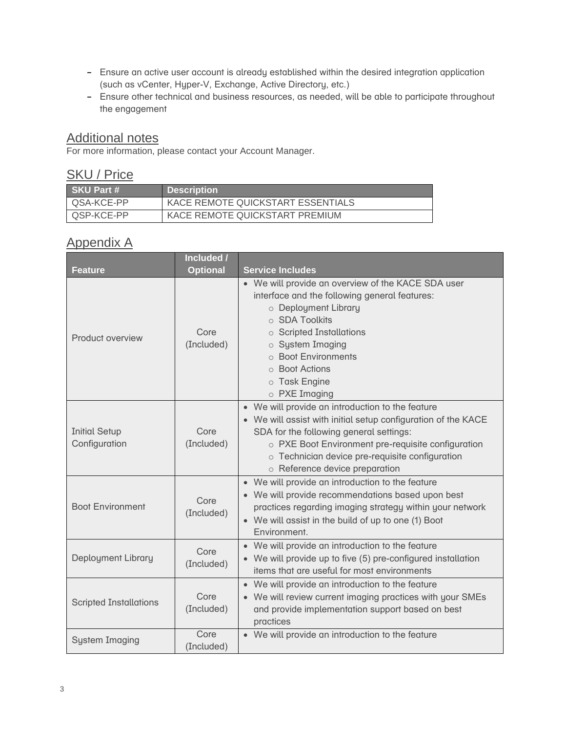- **-** Ensure an active user account is already established within the desired integration application (such as vCenter, Hyper-V, Exchange, Active Directory, etc.)
- **-** Ensure other technical and business resources, as needed, will be able to participate throughout the engagement

## Additional notes

For more information, please contact your Account Manager.

## SKU / Price

| I SKU Part # | <b>Description</b>                |
|--------------|-----------------------------------|
| QSA-KCE-PP   | KACE REMOTE QUICKSTART ESSENTIALS |
| QSP-KCE-PP   | KACE REMOTE QUICKSTART PREMIUM    |

## Appendix A

|                                       | <b>Included /</b>  |                                                                                                                                                                                                                                                                                                         |
|---------------------------------------|--------------------|---------------------------------------------------------------------------------------------------------------------------------------------------------------------------------------------------------------------------------------------------------------------------------------------------------|
| <b>Feature</b>                        | <b>Optional</b>    | <b>Service Includes</b>                                                                                                                                                                                                                                                                                 |
| Product overview                      | Core<br>(Included) | • We will provide an overview of the KACE SDA user<br>interface and the following general features:<br>o Deployment Library<br>○ SDA Toolkits<br>$\circ$ Scripted Installations<br>o System Imaging<br>○ Boot Environments<br>○ Boot Actions<br>o Task Engine<br>$\circ$ PXE Imaging                    |
| <b>Initial Setup</b><br>Configuration | Core<br>(Included) | • We will provide an introduction to the feature<br>• We will assist with initial setup configuration of the KACE<br>SDA for the following general settings:<br>o PXE Boot Environment pre-requisite configuration<br>o Technician device pre-requisite configuration<br>o Reference device preparation |
| <b>Boot Environment</b>               | Core<br>(Included) | • We will provide an introduction to the feature<br>• We will provide recommendations based upon best<br>practices regarding imaging strategy within your network<br>• We will assist in the build of up to one (1) Boot<br>Environment.                                                                |
| Deployment Library                    | Core<br>(Included) | • We will provide an introduction to the feature<br>• We will provide up to five (5) pre-configured installation<br>items that are useful for most environments                                                                                                                                         |
| <b>Scripted Installations</b>         | Core<br>(Included) | • We will provide an introduction to the feature<br>• We will review current imaging practices with your SMEs<br>and provide implementation support based on best<br>practices                                                                                                                          |
| <b>System Imaging</b>                 | Core<br>(Included) | • We will provide an introduction to the feature                                                                                                                                                                                                                                                        |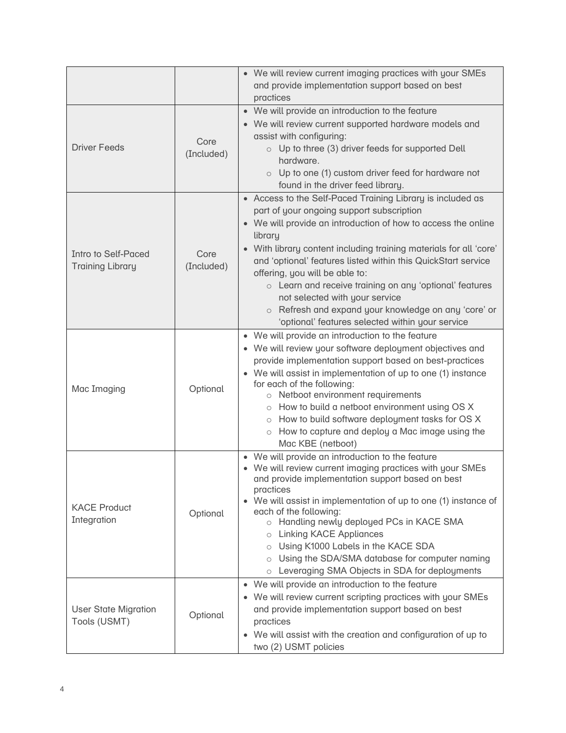|                                                       |                    | • We will review current imaging practices with your SMEs<br>and provide implementation support based on best<br>practices                                                                                                                                                                                                                                                                                                                                                                                                                                                   |
|-------------------------------------------------------|--------------------|------------------------------------------------------------------------------------------------------------------------------------------------------------------------------------------------------------------------------------------------------------------------------------------------------------------------------------------------------------------------------------------------------------------------------------------------------------------------------------------------------------------------------------------------------------------------------|
| <b>Driver Feeds</b>                                   | Core<br>(Included) | • We will provide an introduction to the feature<br>• We will review current supported hardware models and<br>assist with configuring:<br>$\circ$ Up to three (3) driver feeds for supported Dell<br>hardware.<br>Up to one (1) custom driver feed for hardware not<br>$\circ$<br>found in the driver feed library.                                                                                                                                                                                                                                                          |
| <b>Intro to Self-Paced</b><br><b>Training Library</b> | Core<br>(Included) | • Access to the Self-Paced Training Library is included as<br>part of your ongoing support subscription<br>• We will provide an introduction of how to access the online<br>library<br>With library content including training materials for all 'core'<br>and 'optional' features listed within this QuickStart service<br>offering, you will be able to:<br>o Learn and receive training on any 'optional' features<br>not selected with your service<br>Refresh and expand your knowledge on any 'core' or<br>$\circ$<br>'optional' features selected within your service |
| Mac Imaging                                           | Optional           | • We will provide an introduction to the feature<br>• We will review your software deployment objectives and<br>provide implementation support based on best-practices<br>• We will assist in implementation of up to one (1) instance<br>for each of the following:<br>o Netboot environment requirements<br>How to build a netboot environment using OS X<br>$\circ$<br>o How to build software deployment tasks for OS X<br>How to capture and deploy a Mac image using the<br>$\circ$<br>Mac KBE (netboot)                                                               |
| <b>KACE Product</b><br>Integration                    | Optional           | • We will provide an introduction to the feature<br>• We will review current imaging practices with your SMEs<br>and provide implementation support based on best<br>practices<br>• We will assist in implementation of up to one (1) instance of<br>each of the following:<br>o Handling newly deployed PCs in KACE SMA<br><b>Linking KACE Appliances</b><br>$\circ$<br>o Using K1000 Labels in the KACE SDA<br>Using the SDA/SMA database for computer naming<br>$\circ$<br>Leveraging SMA Objects in SDA for deployments<br>$\circ$                                       |
| <b>User State Migration</b><br>Tools (USMT)           | Optional           | • We will provide an introduction to the feature<br>• We will review current scripting practices with your SMEs<br>and provide implementation support based on best<br>practices<br>We will assist with the creation and configuration of up to<br>$\bullet$<br>two (2) USMT policies                                                                                                                                                                                                                                                                                        |